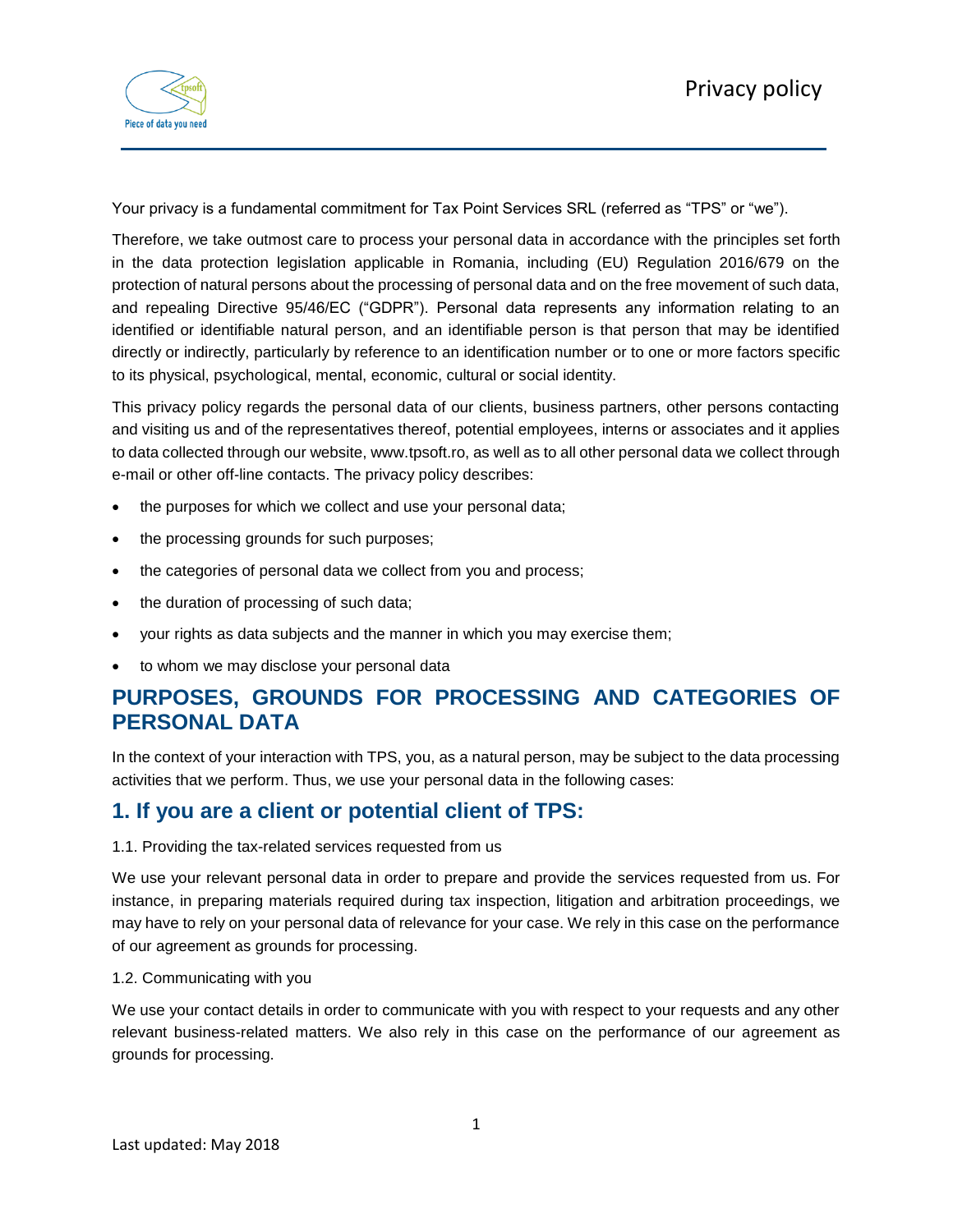

Your privacy is a fundamental commitment for Tax Point Services SRL (referred as "TPS" or "we").

Therefore, we take outmost care to process your personal data in accordance with the principles set forth in the data protection legislation applicable in Romania, including (EU) Regulation 2016/679 on the protection of natural persons about the processing of personal data and on the free movement of such data, and repealing Directive 95/46/EC ("GDPR"). Personal data represents any information relating to an identified or identifiable natural person, and an identifiable person is that person that may be identified directly or indirectly, particularly by reference to an identification number or to one or more factors specific to its physical, psychological, mental, economic, cultural or social identity.

This privacy policy regards the personal data of our clients, business partners, other persons contacting and visiting us and of the representatives thereof, potential employees, interns or associates and it applies to data collected through our website, www.tpsoft.ro, as well as to all other personal data we collect through e-mail or other off-line contacts. The privacy policy describes:

- the purposes for which we collect and use your personal data;
- the processing grounds for such purposes;
- the categories of personal data we collect from you and process;
- the duration of processing of such data;
- your rights as data subjects and the manner in which you may exercise them;
- to whom we may disclose your personal data

# **PURPOSES, GROUNDS FOR PROCESSING AND CATEGORIES OF PERSONAL DATA**

In the context of your interaction with TPS, you, as a natural person, may be subject to the data processing activities that we perform. Thus, we use your personal data in the following cases:

## **1. If you are a client or potential client of TPS:**

### 1.1. Providing the tax-related services requested from us

We use your relevant personal data in order to prepare and provide the services requested from us. For instance, in preparing materials required during tax inspection, litigation and arbitration proceedings, we may have to rely on your personal data of relevance for your case. We rely in this case on the performance of our agreement as grounds for processing.

### 1.2. Communicating with you

We use your contact details in order to communicate with you with respect to your requests and any other relevant business-related matters. We also rely in this case on the performance of our agreement as grounds for processing.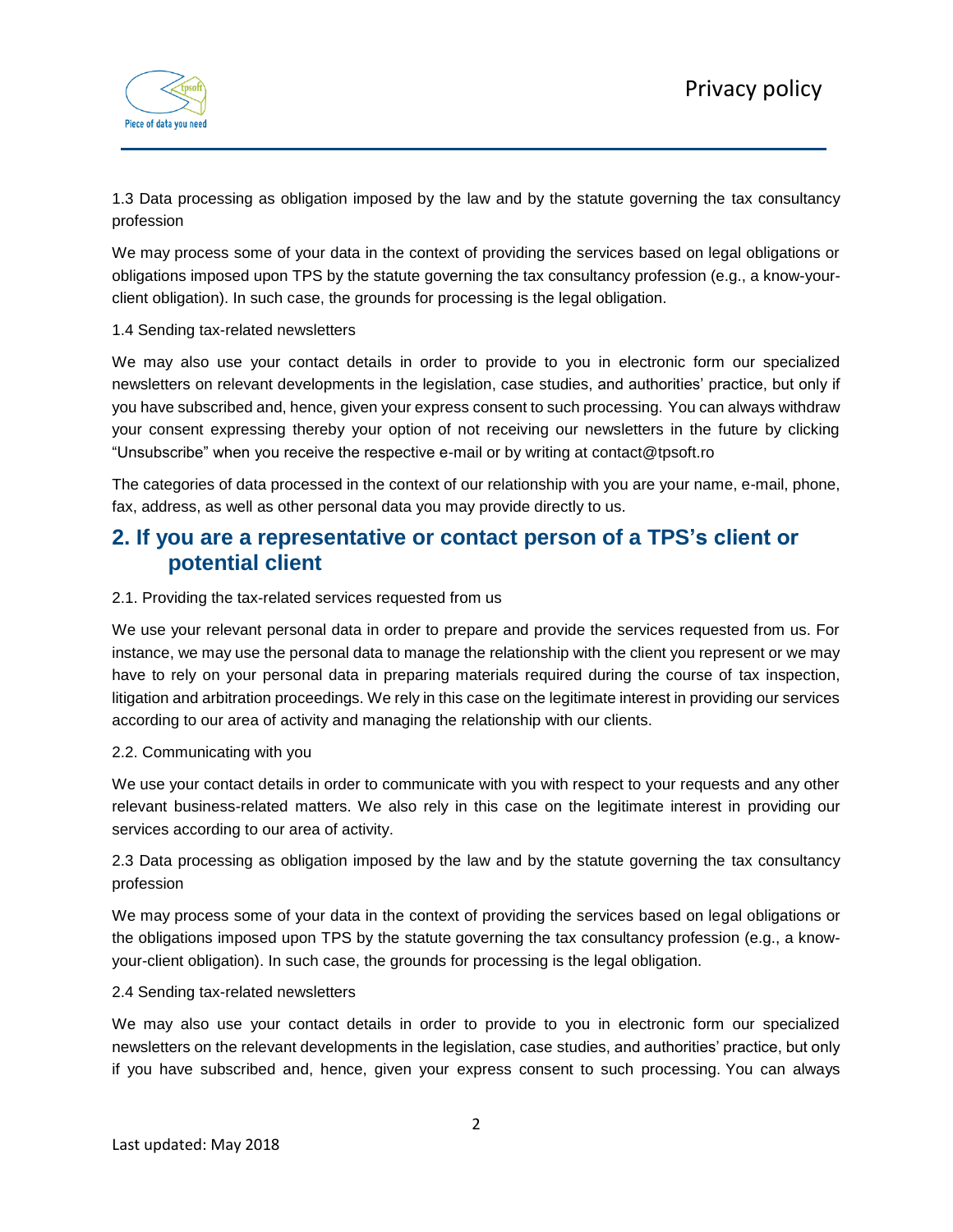

1.3 Data processing as obligation imposed by the law and by the statute governing the tax consultancy profession

We may process some of your data in the context of providing the services based on legal obligations or obligations imposed upon TPS by the statute governing the tax consultancy profession (e.g., a know-yourclient obligation). In such case, the grounds for processing is the legal obligation.

#### 1.4 Sending tax-related newsletters

We may also use your contact details in order to provide to you in electronic form our specialized newsletters on relevant developments in the legislation, case studies, and authorities' practice, but only if you have subscribed and, hence, given your express consent to such processing. You can always withdraw your consent expressing thereby your option of not receiving our newsletters in the future by clicking "Unsubscribe" when you receive the respective e-mail or by writing at contact@tpsoft.ro

The categories of data processed in the context of our relationship with you are your name, e-mail, phone, fax, address, as well as other personal data you may provide directly to us.

### **2. If you are a representative or contact person of a TPS's client or potential client**

#### 2.1. Providing the tax-related services requested from us

We use your relevant personal data in order to prepare and provide the services requested from us. For instance, we may use the personal data to manage the relationship with the client you represent or we may have to rely on your personal data in preparing materials required during the course of tax inspection, litigation and arbitration proceedings. We rely in this case on the legitimate interest in providing our services according to our area of activity and managing the relationship with our clients.

#### 2.2. Communicating with you

We use your contact details in order to communicate with you with respect to your requests and any other relevant business-related matters. We also rely in this case on the legitimate interest in providing our services according to our area of activity.

2.3 Data processing as obligation imposed by the law and by the statute governing the tax consultancy profession

We may process some of your data in the context of providing the services based on legal obligations or the obligations imposed upon TPS by the statute governing the tax consultancy profession (e.g., a knowyour-client obligation). In such case, the grounds for processing is the legal obligation.

#### 2.4 Sending tax-related newsletters

We may also use your contact details in order to provide to you in electronic form our specialized newsletters on the relevant developments in the legislation, case studies, and authorities' practice, but only if you have subscribed and, hence, given your express consent to such processing. You can always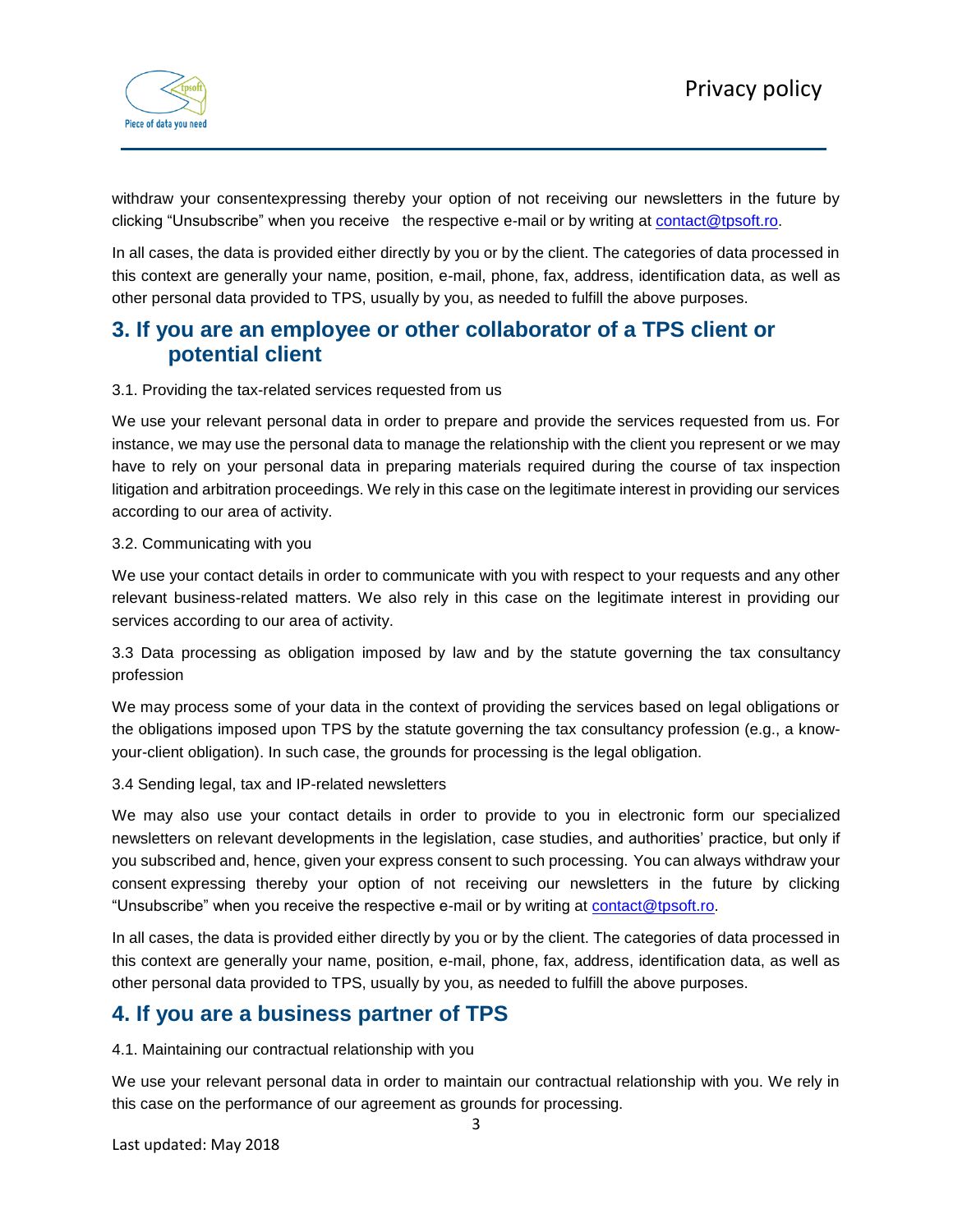

withdraw your consentexpressing thereby your option of not receiving our newsletters in the future by clicking "Unsubscribe" when you receive the respective e-mail or by writing at [contact@tpsoft.ro.](mailto:contact@tpsoft.ro)

In all cases, the data is provided either directly by you or by the client. The categories of data processed in this context are generally your name, position, e-mail, phone, fax, address, identification data, as well as other personal data provided to TPS, usually by you, as needed to fulfill the above purposes.

## **3. If you are an employee or other collaborator of a TPS client or potential client**

### 3.1. Providing the tax-related services requested from us

We use your relevant personal data in order to prepare and provide the services requested from us. For instance, we may use the personal data to manage the relationship with the client you represent or we may have to rely on your personal data in preparing materials required during the course of tax inspection litigation and arbitration proceedings. We rely in this case on the legitimate interest in providing our services according to our area of activity.

#### 3.2. Communicating with you

We use your contact details in order to communicate with you with respect to your requests and any other relevant business-related matters. We also rely in this case on the legitimate interest in providing our services according to our area of activity.

3.3 Data processing as obligation imposed by law and by the statute governing the tax consultancy profession

We may process some of your data in the context of providing the services based on legal obligations or the obligations imposed upon TPS by the statute governing the tax consultancy profession (e.g., a knowyour-client obligation). In such case, the grounds for processing is the legal obligation.

3.4 Sending legal, tax and IP-related newsletters

We may also use your contact details in order to provide to you in electronic form our specialized newsletters on relevant developments in the legislation, case studies, and authorities' practice, but only if you subscribed and, hence, given your express consent to such processing. You can always withdraw your consent expressing thereby your option of not receiving our newsletters in the future by clicking "Unsubscribe" when you receive the respective e-mail or by writing at [contact@tpsoft.ro.](mailto:contact@tpsoft.ro)

In all cases, the data is provided either directly by you or by the client. The categories of data processed in this context are generally your name, position, e-mail, phone, fax, address, identification data, as well as other personal data provided to TPS, usually by you, as needed to fulfill the above purposes.

## **4. If you are a business partner of TPS**

4.1. Maintaining our contractual relationship with you

We use your relevant personal data in order to maintain our contractual relationship with you. We rely in this case on the performance of our agreement as grounds for processing.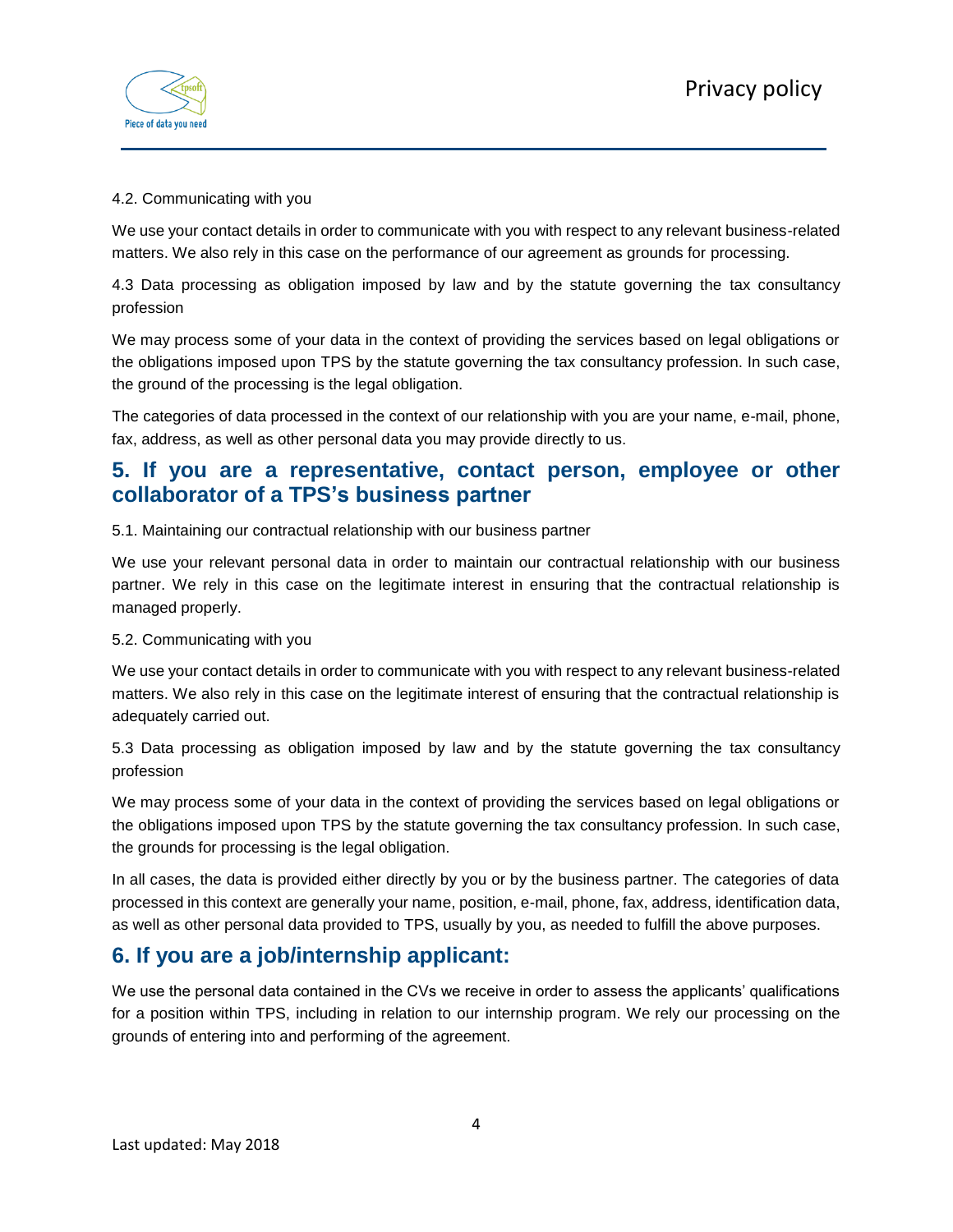

### 4.2. Communicating with you

We use your contact details in order to communicate with you with respect to any relevant business-related matters. We also rely in this case on the performance of our agreement as grounds for processing.

4.3 Data processing as obligation imposed by law and by the statute governing the tax consultancy profession

We may process some of your data in the context of providing the services based on legal obligations or the obligations imposed upon TPS by the statute governing the tax consultancy profession. In such case, the ground of the processing is the legal obligation.

The categories of data processed in the context of our relationship with you are your name, e-mail, phone, fax, address, as well as other personal data you may provide directly to us.

## **5. If you are a representative, contact person, employee or other collaborator of a TPS's business partner**

5.1. Maintaining our contractual relationship with our business partner

We use your relevant personal data in order to maintain our contractual relationship with our business partner. We rely in this case on the legitimate interest in ensuring that the contractual relationship is managed properly.

#### 5.2. Communicating with you

We use your contact details in order to communicate with you with respect to any relevant business-related matters. We also rely in this case on the legitimate interest of ensuring that the contractual relationship is adequately carried out.

5.3 Data processing as obligation imposed by law and by the statute governing the tax consultancy profession

We may process some of your data in the context of providing the services based on legal obligations or the obligations imposed upon TPS by the statute governing the tax consultancy profession. In such case, the grounds for processing is the legal obligation.

In all cases, the data is provided either directly by you or by the business partner. The categories of data processed in this context are generally your name, position, e-mail, phone, fax, address, identification data, as well as other personal data provided to TPS, usually by you, as needed to fulfill the above purposes.

## **6. If you are a job/internship applicant:**

We use the personal data contained in the CVs we receive in order to assess the applicants' qualifications for a position within TPS, including in relation to our internship program. We rely our processing on the grounds of entering into and performing of the agreement.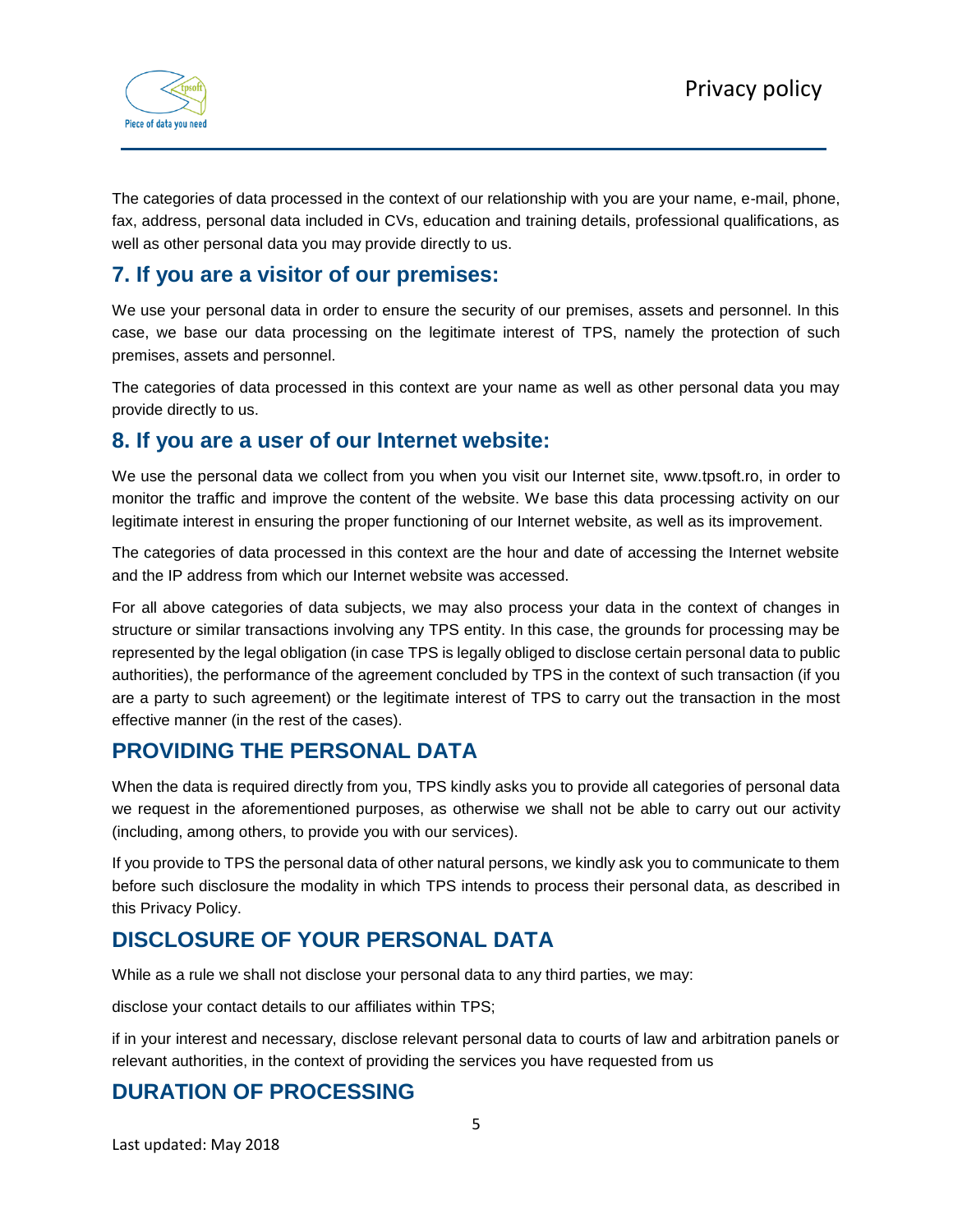

The categories of data processed in the context of our relationship with you are your name, e-mail, phone, fax, address, personal data included in CVs, education and training details, professional qualifications, as well as other personal data you may provide directly to us.

## **7. If you are a visitor of our premises:**

We use your personal data in order to ensure the security of our premises, assets and personnel. In this case, we base our data processing on the legitimate interest of TPS, namely the protection of such premises, assets and personnel.

The categories of data processed in this context are your name as well as other personal data you may provide directly to us.

### **8. If you are a user of our Internet website:**

We use the personal data we collect from you when you visit our Internet site, www.tpsoft.ro, in order to monitor the traffic and improve the content of the website. We base this data processing activity on our legitimate interest in ensuring the proper functioning of our Internet website, as well as its improvement.

The categories of data processed in this context are the hour and date of accessing the Internet website and the IP address from which our Internet website was accessed.

For all above categories of data subjects, we may also process your data in the context of changes in structure or similar transactions involving any TPS entity. In this case, the grounds for processing may be represented by the legal obligation (in case TPS is legally obliged to disclose certain personal data to public authorities), the performance of the agreement concluded by TPS in the context of such transaction (if you are a party to such agreement) or the legitimate interest of TPS to carry out the transaction in the most effective manner (in the rest of the cases).

## **PROVIDING THE PERSONAL DATA**

When the data is required directly from you, TPS kindly asks you to provide all categories of personal data we request in the aforementioned purposes, as otherwise we shall not be able to carry out our activity (including, among others, to provide you with our services).

If you provide to TPS the personal data of other natural persons, we kindly ask you to communicate to them before such disclosure the modality in which TPS intends to process their personal data, as described in this Privacy Policy.

## **DISCLOSURE OF YOUR PERSONAL DATA**

While as a rule we shall not disclose your personal data to any third parties, we may:

disclose your contact details to our affiliates within TPS;

if in your interest and necessary, disclose relevant personal data to courts of law and arbitration panels or relevant authorities, in the context of providing the services you have requested from us

# **DURATION OF PROCESSING**